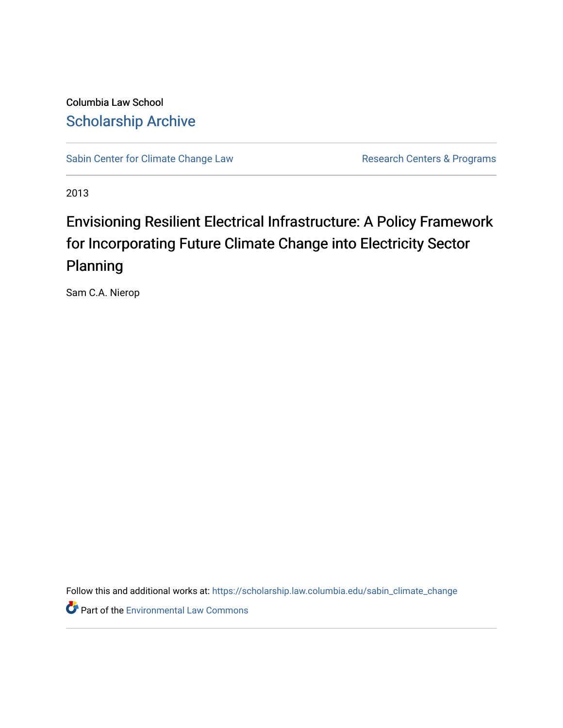Columbia Law School [Scholarship Archive](https://scholarship.law.columbia.edu/) 

[Sabin Center for Climate Change Law](https://scholarship.law.columbia.edu/sabin_climate_change) Research Centers & Programs

2013

# Envisioning Resilient Electrical Infrastructure: A Policy Framework for Incorporating Future Climate Change into Electricity Sector Planning

Sam C.A. Nierop

Follow this and additional works at: [https://scholarship.law.columbia.edu/sabin\\_climate\\_change](https://scholarship.law.columbia.edu/sabin_climate_change?utm_source=scholarship.law.columbia.edu%2Fsabin_climate_change%2F146&utm_medium=PDF&utm_campaign=PDFCoverPages) 

**Part of the [Environmental Law Commons](http://network.bepress.com/hgg/discipline/599?utm_source=scholarship.law.columbia.edu%2Fsabin_climate_change%2F146&utm_medium=PDF&utm_campaign=PDFCoverPages)**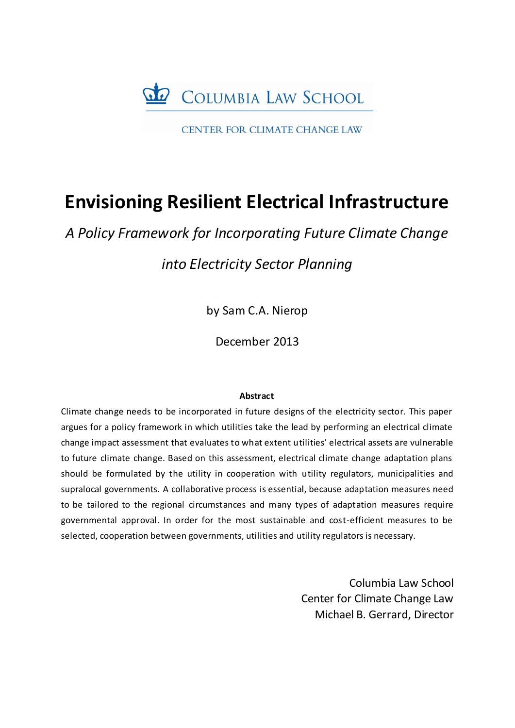

CENTER FOR CLIMATE CHANGE LAW

# **Envisioning Resilient Electrical Infrastructure**

*A Policy Framework for Incorporating Future Climate Change*

*into Electricity Sector Planning*

by Sam C.A. Nierop

December 2013

# **Abstract**

Climate change needs to be incorporated in future designs of the electricity sector. This paper argues for a policy framework in which utilities take the lead by performing an electrical climate change impact assessment that evaluates to what extent utilities' electrical assets are vulnerable to future climate change. Based on this assessment, electrical climate change adaptation plans should be formulated by the utility in cooperation with utility regulators, municipalities and supralocal governments. A collaborative process is essential, because adaptation measures need to be tailored to the regional circumstances and many types of adaptation measures require governmental approval. In order for the most sustainable and cost-efficient measures to be selected, cooperation between governments, utilities and utility regulators is necessary.

> Columbia Law School Center for Climate Change Law Michael B. Gerrard, Director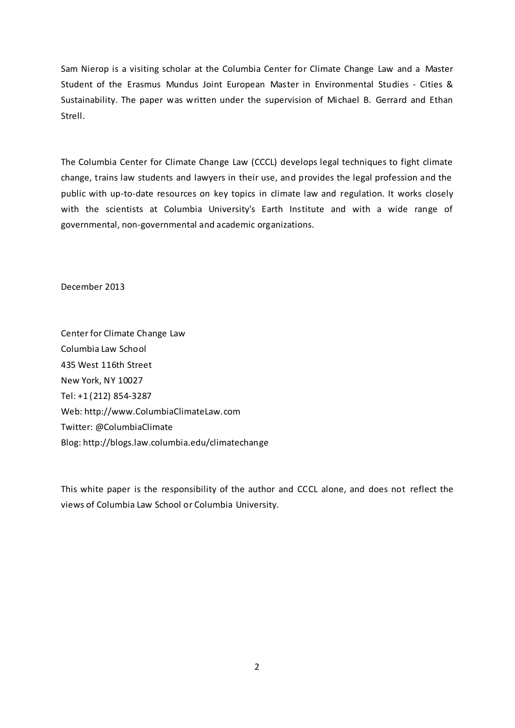Sam Nierop is a visiting scholar at the Columbia Center for Climate Change Law and a Master Student of the Erasmus Mundus Joint European Master in Environmental Studies - Cities & Sustainability. The paper was written under the supervision of Michael B. Gerrard and Ethan Strell.

The Columbia Center for Climate Change Law (CCCL) develops legal techniques to fight climate change, trains law students and lawyers in their use, and provides the legal profession and the public with up-to-date resources on key topics in climate law and regulation. It works closely with the scientists at Columbia University's Earth Institute and with a wide range of governmental, non-governmental and academic organizations.

December 2013

Center for Climate Change Law Columbia Law School 435 West 116th Street New York, NY 10027 Tel: +1 (212) 854-3287 Web: http://www.ColumbiaClimateLaw.com Twitter: @ColumbiaClimate Blog: http://blogs.law.columbia.edu/climatechange

This white paper is the responsibility of the author and CCCL alone, and does not reflect the views of Columbia Law School or Columbia University.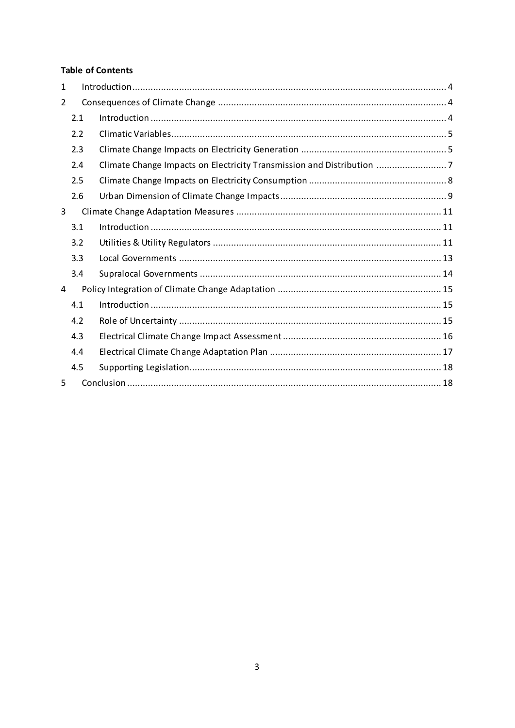# **Table of Contents**

| $\mathbf{1}$ |     |                                                                       |
|--------------|-----|-----------------------------------------------------------------------|
| 2            |     |                                                                       |
|              | 2.1 |                                                                       |
|              | 2.2 |                                                                       |
|              | 2.3 |                                                                       |
|              | 2.4 | Climate Change Impacts on Electricity Transmission and Distribution 7 |
|              | 2.5 |                                                                       |
|              | 2.6 |                                                                       |
| 3            |     |                                                                       |
|              | 3.1 |                                                                       |
|              | 3.2 |                                                                       |
|              | 3.3 |                                                                       |
|              | 3.4 |                                                                       |
| 4            |     |                                                                       |
|              | 4.1 |                                                                       |
|              | 4.2 |                                                                       |
|              | 4.3 |                                                                       |
|              | 4.4 |                                                                       |
|              | 4.5 |                                                                       |
| 5            |     |                                                                       |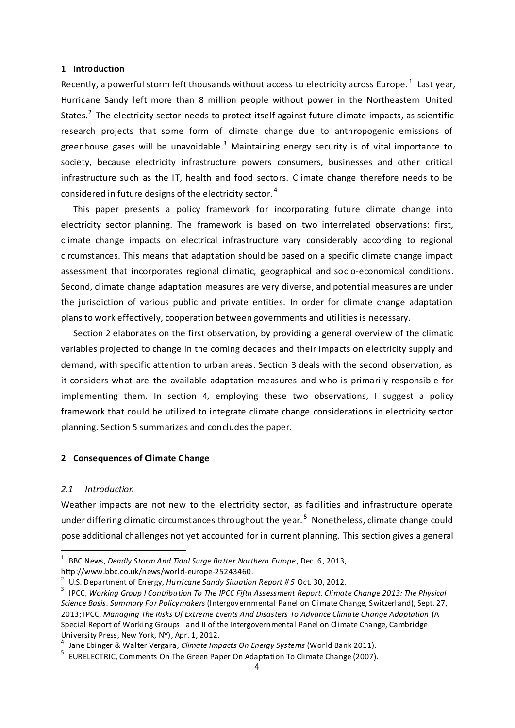#### <span id="page-4-0"></span>**1 Introduction**

Recently, a powerful storm left thousands without access to electricity across Europe.  $^1\,$  Last year, Hurricane Sandy left more than 8 million people without power in the Northeastern United States.<sup>2</sup> The electricity sector needs to protect itself against future climate impacts, as scientific research projects that some form of climate change due to anthropogenic emissions of greenhouse gases will be unavoidable.<sup>3</sup> Maintaining energy security is of vital importance to society, because electricity infrastructure powers consumers, businesses and other critical infrastructure such as the IT, health and food sectors. Climate change therefore needs to be considered in future designs of the electricity sector.  $^4$ 

This paper presents a policy framework for incorporating future climate change into electricity sector planning. The framework is based on two interrelated observations: first, climate change impacts on electrical infrastructure vary considerably according to regional circumstances. This means that adaptation should be based on a specific climate change impact assessment that incorporates regional climatic, geographical and socio-economical conditions. Second, climate change adaptation measures are very diverse, and potential measures are under the jurisdiction of various public and private entities. In order for climate change adaptation plans to work effectively, cooperation between governments and utilities is necessary.

Section 2 elaborates on the first observation, by providing a general overview of the climatic variables projected to change in the coming decades and their impacts on electricity supply and demand, with specific attention to urban areas. Section 3 deals with the second observation, as it considers what are the available adaptation measures and who is primarily responsible for implementing them. In section 4, employing these two observations, I suggest a policy framework that could be utilized to integrate climate change considerations in electricity sector planning. Section 5 summarizes and concludes the paper.

## <span id="page-4-1"></span>**2 Consequences of Climate Change**

#### <span id="page-4-2"></span>*2.1 Introduction*

 $\overline{a}$ 

Weather impacts are not new to the electricity sector, as facilities and infrastructure operate under differing climatic circumstances throughout the year.<sup>5</sup> Nonetheless, climate change could pose additional challenges not yet accounted for in current planning. This section gives a general

<sup>&</sup>lt;sup>1</sup> BBC News, *Deadly Storm And Tidal Surge Batter Northern Europe* , Dec. 6, 2013, http://www.bbc.co.uk/news/world-europe-25243460.

<sup>2</sup> U.S. Department of Energy, *Hurricane Sandy Situation Report # 5* Oct. 30, 2012.

<sup>&</sup>lt;sup>3</sup> IPCC, Working Group I Contribution To The IPCC Fifth Assessment Report. Climate Change 2013: The Physical *Science Basis. Summary For Policymakers* (Intergovernmental Panel on Climate Change, Switzerland), Sept. 27, 2013; IPCC, *Managing The Risks Of Extreme Events And Disasters To Advance Climate Change Adaptation* (A Special Report of Working Groups I and II of the Intergovernmental Panel on Climate Change, Cambridge University Press, New York, NY), Apr. 1, 2012.

<sup>4</sup> Jane Ebinger & Walter Vergara, *Climate Impacts On Energy Systems* (World Bank 2011).

<sup>&</sup>lt;sup>5</sup> EURELECTRIC, Comments On The Green Paper On Adaptation To Climate Change (2007).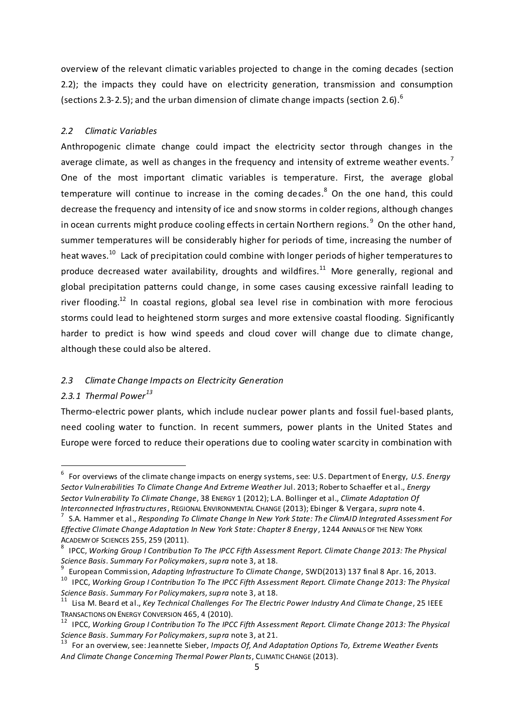overview of the relevant climatic variables projected to change in the coming decades (section 2.2); the impacts they could have on electricity generation, transmission and consumption (sections 2.3-2.5); and the urban dimension of climate change impacts (section 2.6). $^6$ 

# <span id="page-5-0"></span>*2.2 Climatic Variables*

Anthropogenic climate change could impact the electricity sector through changes in the average climate, as well as changes in the frequency and intensity of extreme weather events.<sup>7</sup> One of the most important climatic variables is temperature. First, the average global temperature will continue to increase in the coming decades.<sup>8</sup> On the one hand, this could decrease the frequency and intensity of ice and snow storms in colder regions, although changes in ocean currents might produce cooling effects in certain Northern regions.  $9$  On the other hand, summer temperatures will be considerably higher for periods of time, increasing the number of heat waves.<sup>10</sup> Lack of precipitation could combine with longer periods of higher temperatures to produce decreased water availability, droughts and wildfires.<sup>11</sup> More generally, regional and global precipitation patterns could change, in some cases causing excessive rainfall leading to river flooding.<sup>12</sup> In coastal regions, global sea level rise in combination with more ferocious storms could lead to heightened storm surges and more extensive coastal flooding. Significantly harder to predict is how wind speeds and cloud cover will change due to climate change, although these could also be altered.

## <span id="page-5-1"></span>*2.3 Climate Change Impacts on Electricity Generation*

# *2.3.1 Thermal Power<sup>13</sup>*

 $\overline{a}$ 

Thermo-electric power plants, which include nuclear power plants and fossil fuel-based plants, need cooling water to function. In recent summers, power plants in the United States and Europe were forced to reduce their operations due to cooling water scarcity in combination with

<sup>6</sup> For overviews of the climate change impacts on energy systems, see: U.S. Department of Energy, *U.S. Energy Sector Vulnerabilities To Climate Change And Extreme Weather* Jul. 2013; Roberto Schaeffer et al., *Energy Sector Vulnerability To Climate Change*, 38 ENERGY 1 (2012); L.A. Bollinger et al., *Climate Adaptation Of Interconnected Infrastructures*, REGIONAL ENVIRONMENTAL CHANGE (2013); Ebinger & Vergara, *supra* note 4.

<sup>7</sup> S.A. Hammer et al., *Responding To Climate Change In New York State: The ClimAID Integrated Assessment For Effective Climate Change Adaptation In New York State: Chapter 8 Energy*, 1244 ANNALS OF THE NEW YORK ACADEMY OF SCIENCES 255, 259 (2011).

<sup>8</sup> IPCC, *Working Group I Contribution To The IPCC Fifth Assessment Report. Climate Change 2013: The Physical Science Basis. Summary For Policymakers*, *supra* note 3, at 18. 9

European Commission, *Adapting Infrastructure To Climate Change*, SWD(2013) 137 final 8 Apr. 16, 2013.

<sup>10</sup> IPCC, *Working Group I Contribution To The IPCC Fifth Assessment Report. Climate Change 2013: The Physical Science Basis. Summary For Policymakers*, *supra* note 3, at 18.

<sup>&</sup>lt;sup>11</sup> Lisa M. Beard et al., *Key Technical Challenges For The Electric Power Industry And Climate Change*, 25 IEEE TRANSACTIONS ON ENERGY CONVERSION 465, 4 (2010).

<sup>12</sup> IPCC, *Working Group I Contribution To The IPCC Fifth Assessment Report. Climate Change 2013: The Physical Science Basis. Summary For Policymakers*, *supra* note 3, at 21.

<sup>13</sup> For an overview, see: Jeannette Sieber, *Impacts Of, And Adaptation Options To, Extreme Weather Events And Climate Change Concerning Thermal Power Plants*, CLIMATIC CHANGE (2013).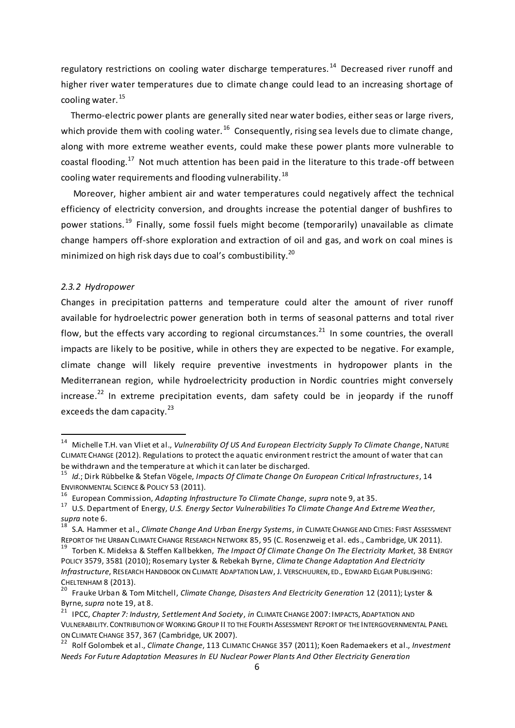regulatory restrictions on cooling water discharge temperatures.<sup>14</sup> Decreased river runoff and higher river water temperatures due to climate change could lead to an increasing shortage of cooling water. 15

Thermo-electric power plants are generally sited near water bodies, either seas or large rivers, which provide them with cooling water.  $^{16}$  Consequently, rising sea levels due to climate change, along with more extreme weather events, could make these power plants more vulnerable to coastal flooding.<sup>17</sup> Not much attention has been paid in the literature to this trade-off between cooling water requirements and flooding vulnerability.<sup>18</sup>

Moreover, higher ambient air and water temperatures could negatively affect the technical efficiency of electricity conversion, and droughts increase the potential danger of bushfires to power stations.<sup>19</sup> Finally, some fossil fuels might become (temporarily) unavailable as climate change hampers off-shore exploration and extraction of oil and gas, and work on coal mines is minimized on high risk days due to coal's combustibility.<sup>20</sup>

## *2.3.2 Hydropower*

**-**

Changes in precipitation patterns and temperature could alter the amount of river runoff available for hydroelectric power generation both in terms of seasonal patterns and total river flow, but the effects vary according to regional circumstances.<sup>21</sup> In some countries, the overall impacts are likely to be positive, while in others they are expected to be negative. For example, climate change will likely require preventive investments in hydropower plants in the Mediterranean region, while hydroelectricity production in Nordic countries might conversely increase.<sup>22</sup> In extreme precipitation events, dam safety could be in jeopardy if the runoff exceeds the dam capacity. $^{23}$ 

<sup>14</sup> Michelle T.H. van Vliet et al., *Vulnerability Of US And European Electricity Supply To Climate Change*, NATURE CLIMATE CHANGE (2012). Regulations to protect the aquatic environment restrict the amount of water that can be withdrawn and the temperature at which it can later be discharged.

<sup>15</sup> *Id.*; Dirk Rübbelke & Stefan Vögele, *Impacts Of Climate Change On European Critical Infrastructures*, 14 ENVIRONMENTAL SCIENCE & POLICY 53 (2011).

<sup>16</sup> European Commission, *Adapting Infrastructure To Climate Change*, *supra* note 9, at 35.

<sup>17</sup> U.S. Department of Energy, *U.S. Energy Sector Vulnerabilities To Climate Change And Extreme Weather*, *supra* note 6.

<sup>18</sup> S.A. Hammer et al., *Climate Change And Urban Energy Systems*, *in* CLIMATE CHANGE AND CITIES: FIRST ASSESSMENT REPORT OF THE URBAN CLIMATE CHANGE RESEARCH NETWORK 85, 95 (C. Rosenzweig et al. eds., Cambridge, UK 2011).

<sup>19</sup> Torben K. Mideksa & Steffen Kallbekken, *The Impact Of Climate Change On The Electricity Market*, 38 ENERGY POLICY 3579, 3581 (2010); Rosemary Lyster & Rebekah Byrne, *Climate Change Adaptation And Electricity Infrastructure*, RESEARCH HANDBOOK ON CLIMATE ADAPTATION LAW, J. VERSCHUUREN, ED., EDWARD ELGAR PUBLISHING: CHELTENHAM 8 (2013).

<sup>20</sup> Frauke Urban & Tom Mitchell, *Climate Change, Disasters And Electricity Generation* 12 (2011); Lyster & Byrne, *supra* note 19, at 8.

<sup>&</sup>lt;sup>21</sup> IPCC, *Chapter 7: Industry, Settlement And Society, in* CLIMATE CHANGE 2007: IMPACTS, ADAPTATION AND VULNERABILITY.CONTRIBUTION OF WORKING GROUP II TO THE FOURTH ASSESSMENT REPORT OF THE INTERGOVERNMENTAL PANEL ON CLIMATE CHANGE 357, 367 (Cambridge, UK 2007).

<sup>22</sup> Rolf Golombek et al., *Climate Change*, 113 CLIMATIC CHANGE 357 (2011); Koen Rademaekers et al., *Investment Needs For Future Adaptation Measures In EU Nuclear Power Plants And Other Electricity Generation*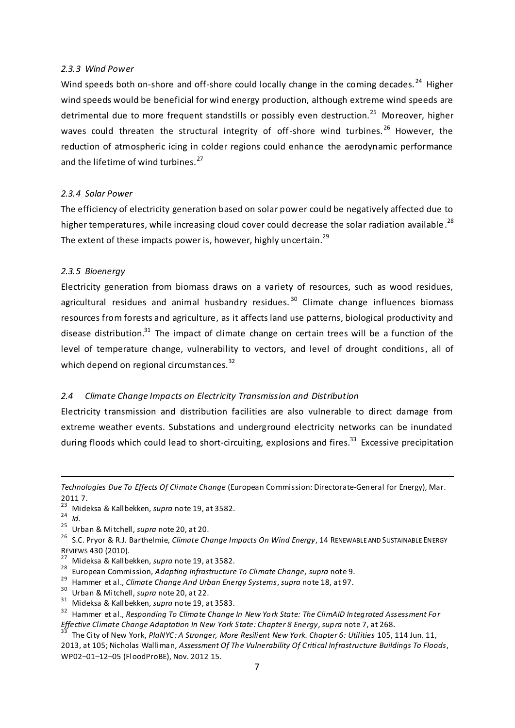## *2.3.3 Wind Power*

Wind speeds both on-shore and off-shore could locally change in the coming decades.<sup>24</sup> Higher wind speeds would be beneficial for wind energy production, although extreme wind speeds are detrimental due to more frequent standstills or possibly even destruction.<sup>25</sup> Moreover, higher waves could threaten the structural integrity of off-shore wind turbines.<sup>26</sup> However, the reduction of atmospheric icing in colder regions could enhance the aerodynamic performance and the lifetime of wind turbines. $27$ 

#### *2.3.4 Solar Power*

The efficiency of electricity generation based on solar power could be negatively affected due to higher temperatures, while increasing cloud cover could decrease the solar radiation available.<sup>28</sup> The extent of these impacts power is, however, highly uncertain.<sup>29</sup>

#### *2.3.5 Bioenergy*

Electricity generation from biomass draws on a variety of resources, such as wood residues, agricultural residues and animal husbandry residues.<sup>30</sup> Climate change influences biomass resources from forests and agriculture, as it affects land use patterns, biological productivity and disease distribution.<sup>31</sup> The impact of climate change on certain trees will be a function of the level of temperature change, vulnerability to vectors, and level of drought conditions, all of which depend on regional circumstances.<sup>32</sup>

## <span id="page-7-0"></span>*2.4 Climate Change Impacts on Electricity Transmission and Distribution*

Electricity transmission and distribution facilities are also vulnerable to direct damage from extreme weather events. Substations and underground electricity networks can be inundated during floods which could lead to short-circuiting, explosions and fires.<sup>33</sup> Excessive precipitation

<sup>23</sup> Mideksa & Kallbekken, *supra* note 19, at 3582. <sup>24</sup> *Id.*

 $\overline{a}$ 

<sup>25</sup> Urban & Mitchell, *supra* note 20, at 20.

- <sup>27</sup> Mideksa & Kallbekken, *supra* note 19, at 3582.
- <sup>28</sup> European Commission, *Adapting Infrastructure To Climate Change*, *supra* note 9.
- <sup>29</sup> Hammer et al., *Climate Change And Urban Energy Systems*, *supra* note 18, at 97.
- <sup>30</sup> Urban & Mitchell, *supra* note 20, at 22.
- <sup>31</sup> Mideksa & Kallbekken, *supra* note 19, at 3583.

*Technologies Due To Effects Of Climate Change* (European Commission: Directorate-General for Energy), Mar. 2011 7.

<sup>26</sup> S.C. Pryor & R.J. Barthelmie, *Climate Change Impacts On Wind Energy*, 14 RENEWABLE AND SUSTAINABLE ENERGY REVIEWS 430 (2010).

<sup>32</sup> Hammer et al., *Responding To Climate Change In New York State: The ClimAID Integrated Assessment For Effective Climate Change Adaptation In New York State: Chapter 8 Energy*, *supra* note 7, at 268.

<sup>33</sup> The City of New York, *PlaNYC: A Stronger, More Resilient New York. Chapter 6: Utilities* 105, 114 Jun. 11, 2013, at 105; Nicholas Walliman, *Assessment Of The Vulnerability Of Critical Infrastructure Buildings To Floods*, WP02–01–12–05 (FloodProBE), Nov. 2012 15.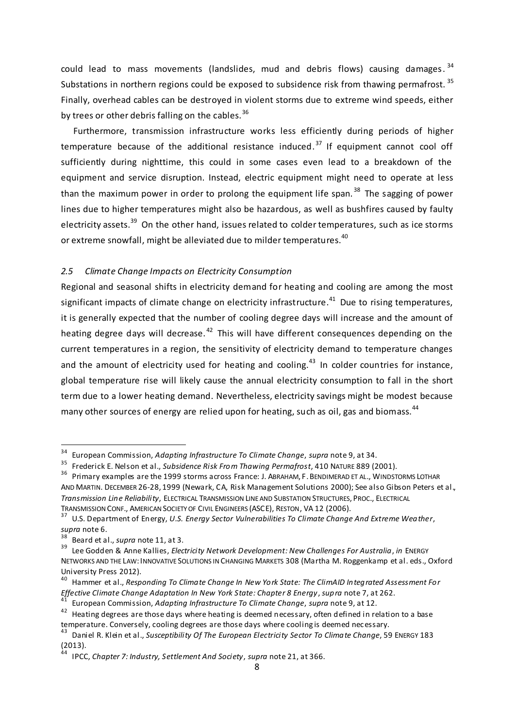could lead to mass movements (landslides, mud and debris flows) causing damages.<sup>34</sup> Substations in northern regions could be exposed to subsidence risk from thawing permafrost.<sup>35</sup> Finally, overhead cables can be destroyed in violent storms due to extreme wind speeds, either by trees or other debris falling on the cables.<sup>36</sup>

Furthermore, transmission infrastructure works less efficiently during periods of higher temperature because of the additional resistance induced.<sup>37</sup> If equipment cannot cool off sufficiently during nighttime, this could in some cases even lead to a breakdown of the equipment and service disruption. Instead, electric equipment might need to operate at less than the maximum power in order to prolong the equipment life span.<sup>38</sup> The sagging of power lines due to higher temperatures might also be hazardous, as well as bushfires caused by faulty electricity assets.<sup>39</sup> On the other hand, issues related to colder temperatures, such as ice storms or extreme snowfall, might be alleviated due to milder temperatures.<sup>40</sup>

## <span id="page-8-0"></span>*2.5 Climate Change Impacts on Electricity Consumption*

Regional and seasonal shifts in electricity demand for heating and cooling are among the most significant impacts of climate change on electricity infrastructure.<sup>41</sup> Due to rising temperatures, it is generally expected that the number of cooling degree days will increase and the amount of heating degree days will decrease.<sup>42</sup> This will have different consequences depending on the current temperatures in a region, the sensitivity of electricity demand to temperature changes and the amount of electricity used for heating and cooling.<sup>43</sup> In colder countries for instance, global temperature rise will likely cause the annual electricity consumption to fall in the short term due to a lower heating demand. Nevertheless, electricity savings might be modest because many other sources of energy are relied upon for heating, such as oil, gas and biomass.<sup>44</sup>

<sup>34</sup> European Commission, *Adapting Infrastructure To Climate Change*, *supra* note 9, at 34.

<sup>35</sup> Frederick E. Nelson et al., *Subsidence Risk From Thawing Permafrost*, 410 NATURE 889 (2001).

<sup>&</sup>lt;sup>36</sup> Primary examples are the 1999 storms across France: J. ABRAHAM, F. BENDIMERAD ET AL., WINDSTORMS LOTHAR AND MARTIN. DECEMBER 26-28, 1999 (Newark, CA, Risk Management Solutions 2000); See also Gibson Peters et al., *Transmission Line Reliability*, ELECTRICAL TRANSMISSION LINE AND SUBSTATION STRUCTURES, PROC., ELECTRICAL TRANSMISSION CONF., AMERICAN SOCIETY OF CIVIL ENGINEERS (ASCE), RESTON, VA 12 (2006).

<sup>37</sup> U.S. Department of Energy, *U.S. Energy Sector Vulnerabilities To Climate Change And Extreme Weather*, *supra* note 6.

Beard et al., *supra* note 11, at 3.

<sup>39</sup> Lee Godden & Anne Kallies, *Electricity Network Development: New Challenges For Australia*, *in* ENERGY NETWORKS AND THE LAW:INNOVATIVE SOLUTIONS IN CHANGING MARKETS 308 (Martha M. Roggenkamp et al. eds., Oxford University Press 2012).

<sup>40</sup> Hammer et al., *Responding To Climate Change In New York State: The ClimAID Integrated Assessment For Effective Climate Change Adaptation In New York State: Chapter 8 Energy*, *supra* note 7, at 262.

<sup>41</sup> European Commission, *Adapting Infrastructure To Climate Change*, *supra* note 9, at 12.

<sup>&</sup>lt;sup>42</sup> Heating degrees are those days where heating is deemed necessary, often defined in relation to a base temperature. Conversely, cooling degrees are those days where cooling is deemed nec essary.

<sup>43</sup> Daniel R. Klein et al., *Susceptibility Of The European Electricity Sector To Climate Change*, 59 ENERGY 183 (2013).

<sup>44</sup> IPCC, *Chapter 7: Industry, Settlement And Society*, *supra* note 21, at 366.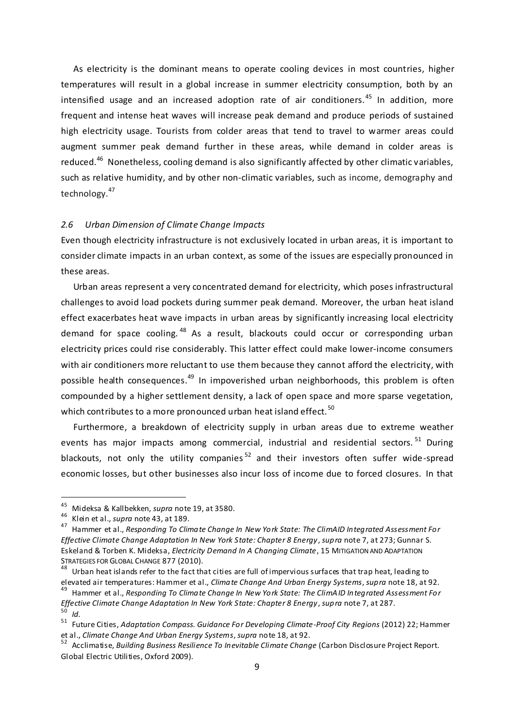As electricity is the dominant means to operate cooling devices in most countries, higher temperatures will result in a global increase in summer electricity consumption, both by an intensified usage and an increased adoption rate of air conditioners. <sup>45</sup> In addition, more frequent and intense heat waves will increase peak demand and produce periods of sustained high electricity usage. Tourists from colder areas that tend to travel to warmer areas could augment summer peak demand further in these areas, while demand in colder areas is reduced.<sup>46</sup> Nonetheless, cooling demand is also significantly affected by other climatic variables, such as relative humidity, and by other non-climatic variables, such as income, demography and technology.<sup>47</sup>

# <span id="page-9-0"></span>*2.6 Urban Dimension of Climate Change Impacts*

Even though electricity infrastructure is not exclusively located in urban areas, it is important to consider climate impacts in an urban context, as some of the issues are especially pronounced in these areas.

Urban areas represent a very concentrated demand for electricity, which poses infrastructural challenges to avoid load pockets during summer peak demand. Moreover, the urban heat island effect exacerbates heat wave impacts in urban areas by significantly increasing local electricity demand for space cooling. <sup>48</sup> As a result, blackouts could occur or corresponding urban electricity prices could rise considerably. This latter effect could make lower-income consumers with air conditioners more reluctant to use them because they cannot afford the electricity, with possible health consequences.<sup>49</sup> In impoverished urban neighborhoods, this problem is often compounded by a higher settlement density, a lack of open space and more sparse vegetation, which contributes to a more pronounced urban heat island effect.<sup>50</sup>

Furthermore, a breakdown of electricity supply in urban areas due to extreme weather events has major impacts among commercial, industrial and residential sectors.<sup>51</sup> During blackouts, not only the utility companies<sup>52</sup> and their investors often suffer wide-spread economic losses, but other businesses also incur loss of income due to forced closures. In that

 $\overline{a}$ 

<sup>49</sup> Hammer et al., *Responding To Climate Change In New York State: The ClimAID Integrated Assessment For Effective Climate Change Adaptation In New York State: Chapter 8 Energy*, *supra* note 7, at 287. <sup>50</sup> *Id.*

<sup>45</sup> Mideksa & Kallbekken, *supra* note 19, at 3580.

<sup>46</sup> Klein et al., *supra* note 43, at 189.

<sup>47</sup> Hammer et al., *Responding To Climate Change In New York State: The ClimAID Integrated Assessment For Effective Climate Change Adaptation In New York State: Chapter 8 Energy*, *supra* note 7, at 273; Gunnar S. Eskeland & Torben K. Mideksa, *Electricity Demand In A Changing Climate*, 15 MITIGATION AND ADAPTATION STRATEGIES FOR GLOBAL CHANGE 877 (2010).

 $48$  Urban heat islands refer to the fact that cities are full of impervious surfaces that trap heat, leading to elevated air temperatures: Hammer et al., *Climate Change And Urban Energy Systems*, *supra* note 18, at 92.

<sup>51</sup> Future Cities, *Adaptation Compass. Guidance For Developing Climate-Proof City Regions* (2012) 22; Hammer et al., *Climate Change And Urban Energy Systems*, *supra* note 18, at 92.

<sup>52</sup> Acclimatise, *Building Business Resilience To Inevitable Climate Change* (Carbon Disclosure Project Report. Global Electric Utilities, Oxford 2009).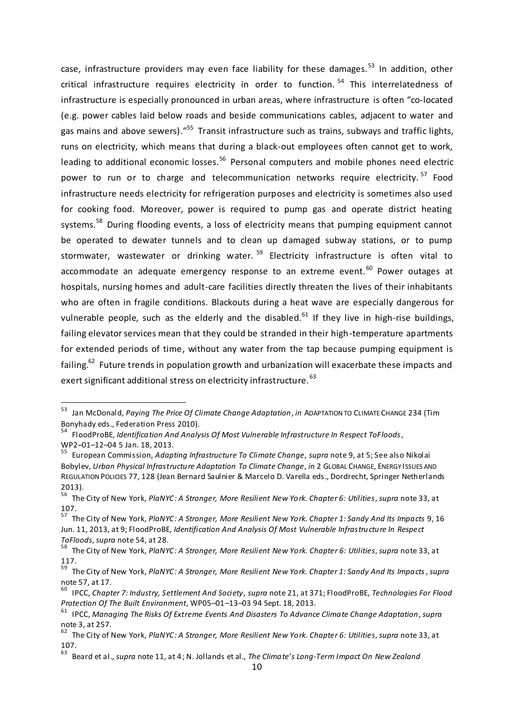case, infrastructure providers may even face liability for these damages.<sup>53</sup> In addition, other critical infrastructure requires electricity in order to function.<sup>54</sup> This interrelatedness of infrastructure is especially pronounced in urban areas, where infrastructure is often "co-located (e.g. power cables laid below roads and beside communications cables, adjacent to water and gas mains and above sewers)."<sup>55</sup> Transit infrastructure such as trains, subways and traffic lights, runs on electricity, which means that during a black-out employees often cannot get to work, leading to additional economic losses.<sup>56</sup> Personal computers and mobile phones need electric power to run or to charge and telecommunication networks require electricity.<sup>57</sup> Food infrastructure needs electricity for refrigeration purposes and electricity is sometimes also used for cooking food. Moreover, power is required to pump gas and operate district heating systems.<sup>58</sup> During flooding events, a loss of electricity means that pumping equipment cannot be operated to dewater tunnels and to clean up damaged subway stations, or to pump stormwater, wastewater or drinking water.  $59$  Electricity infrastructure is often vital to accommodate an adequate emergency response to an extreme event.<sup>60</sup> Power outages at hospitals, nursing homes and adult-care facilities directly threaten the lives of their inhabitants who are often in fragile conditions. Blackouts during a heat wave are especially dangerous for vulnerable people, such as the elderly and the disabled.<sup>61</sup> If they live in high-rise buildings, failing elevator services mean that they could be stranded in their high-temperature apartments for extended periods of time, without any water from the tap because pumping equipment is failing.<sup>62</sup> Future trends in population growth and urbanization will exacerbate these impacts and exert significant additional stress on electricity infrastructure.  $63$ 

<sup>53</sup> Jan McDonald, *Paying The Price Of Climate Change Adaptation*, *in* ADAPTATION TO CLIMATE CHANGE 234 (Tim Bonyhady eds., Federation Press 2010).

<sup>54</sup> FloodProBE, *Identification And Analysis Of Most Vulnerable Infrastructure In Respect ToFloods*, WP2–01–12–04 5 Jan. 18, 2013.

<sup>55</sup> European Commission, *Adapting Infrastructure To Climate Change*, *supra* note 9, at 5; See also Nikolai Bobylev, *Urban Physical Infrastructure Adaptation To Climate Change*, *in* 2 GLOBAL CHANGE, ENERGY ISSUES AND REGULATION POLICIES 77, 128 (Jean Bernard Saulnier & Marcelo D. Varella eds., Dordrecht, Springer Netherlands 2013).

<sup>56</sup> The City of New York, *PlaNYC: A Stronger, More Resilient New York. Chapter 6: Utilities*, *supra* note 33, at 107.

<sup>57</sup> The City of New York, *PlaNYC: A Stronger, More Resilient New York. Chapter 1: Sandy And Its Impacts* 9, 16 Jun. 11, 2013, at 9; FloodProBE, *Identification And Analysis Of Most Vulnerable Infrastructure In Respect ToFloods*, *supra* note 54, at 28.

<sup>58</sup> The City of New York, *PlaNYC: A Stronger, More Resilient New York. Chapter 6: Utilities*, *supra* note 33, at 117.

<sup>59</sup> The City of New York, *PlaNYC: A Stronger, More Resilient New York. Chapter 1: Sandy And Its Impacts*, *supra* note 57, at 17.

<sup>60</sup> IPCC, *Chapter 7: Industry, Settlement And Society*, *supra* note 21, at 371; FloodProBE, *Technologies For Flood Protection Of The Built Environment*, WP05–01–13–03 94 Sept. 18, 2013.

<sup>61</sup> IPCC, *Managing The Risks Of Extreme Events And Disasters To Advance Climate Change Adaptation*, *supra* note 3, at 257.

<sup>62</sup> The City of New York, *PlaNYC: A Stronger, More Resilient New York. Chapter 6: Utilities*, *supra* note 33, at 107.

<sup>63</sup> Beard et al., *supra* note 11, at 4; N. Jollands et al., *The Climate's Long-Term Impact On New Zealand*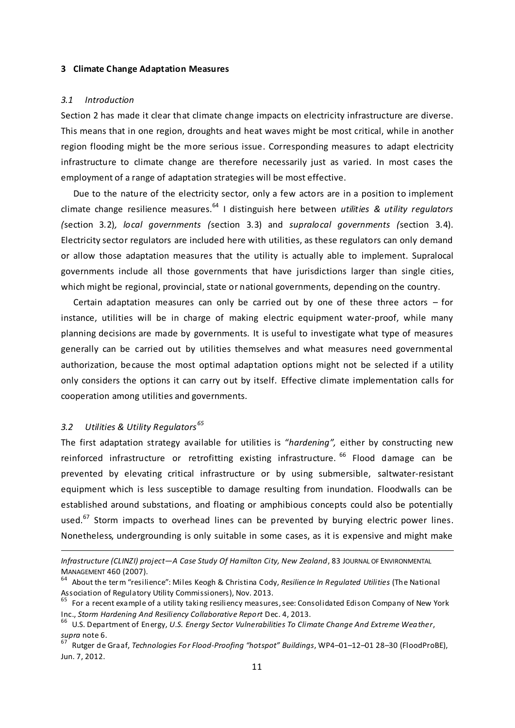#### <span id="page-11-0"></span>**3 Climate Change Adaptation Measures**

#### <span id="page-11-1"></span>*3.1 Introduction*

Section 2 has made it clear that climate change impacts on electricity infrastructure are diverse. This means that in one region, droughts and heat waves might be most critical, while in another region flooding might be the more serious issue. Corresponding measures to adapt electricity infrastructure to climate change are therefore necessarily just as varied. In most cases the employment of a range of adaptation strategies will be most effective.

Due to the nature of the electricity sector, only a few actors are in a position to implement climate change resilience measures. <sup>64</sup> I distinguish here between *utilities & utility regulators (*section 3.2)*, local governments (*section 3.3) and *supralocal governments (*section 3.4)*.* Electricity sector regulators are included here with utilities, as these regulators can only demand or allow those adaptation measures that the utility is actually able to implement. Supralocal governments include all those governments that have jurisdictions larger than single cities, which might be regional, provincial, state or national governments, depending on the country.

Certain adaptation measures can only be carried out by one of these three actors – for instance, utilities will be in charge of making electric equipment water-proof, while many planning decisions are made by governments. It is useful to investigate what type of measures generally can be carried out by utilities themselves and what measures need governmental authorization, because the most optimal adaptation options might not be selected if a utility only considers the options it can carry out by itself. Effective climate implementation calls for cooperation among utilities and governments.

# <span id="page-11-2"></span>*3.2 Utilities & Utility Regulators <sup>65</sup>*

 $\overline{a}$ 

The first adaptation strategy available for utilities is "*hardening",* either by constructing new reinforced infrastructure or retrofitting existing infrastructure. <sup>66</sup> Flood damage can be prevented by elevating critical infrastructure or by using submersible, saltwater-resistant equipment which is less susceptible to damage resulting from inundation. Floodwalls can be established around substations, and floating or amphibious concepts could also be potentially used. $67$  Storm impacts to overhead lines can be prevented by burying electric power lines. Nonetheless, undergrounding is only suitable in some cases, as it is expensive and might make

*Infrastructure (CLINZI) project—A Case Study Of Hamilton City, New Zealand*, 83 JOURNAL OF ENVIRONMENTAL MANAGEMENT 460 (2007).

<sup>64</sup> About the term "resilience": Miles Keogh & Christina Cody, *Resilience In Regulated Utilities* (The National Association of Regulatory Utility Commissioners), Nov. 2013.

<sup>&</sup>lt;sup>65</sup> For a recent example of a utility taking resiliency measures, see: Consolidated Edison Company of New York Inc., *Storm Hardening And Resiliency Collaborative Report* Dec. 4, 2013.

<sup>66</sup> U.S. Department of Energy, *U.S. Energy Sector Vulnerabilities To Climate Change And Extreme Weather*, *supra* note 6.

<sup>67</sup> Rutger de Graaf, *Technologies For Flood-Proofing "hotspot" Buildings*, WP4–01–12–01 28–30 (FloodProBE), Jun. 7, 2012.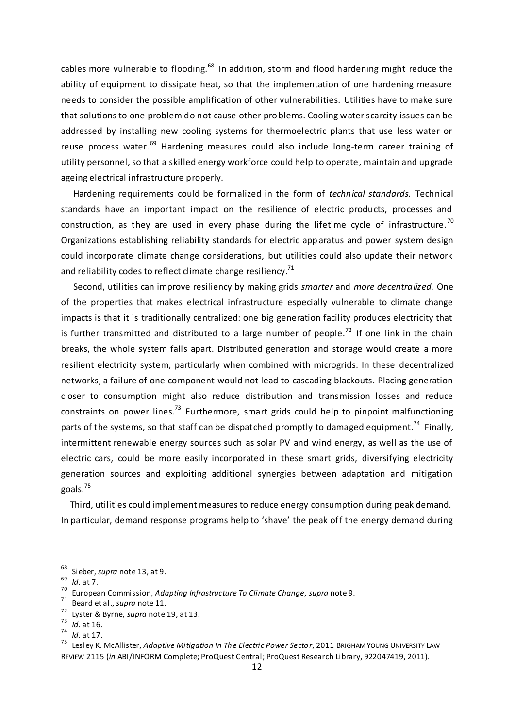cables more vulnerable to flooding.<sup>68</sup> In addition, storm and flood hardening might reduce the ability of equipment to dissipate heat, so that the implementation of one hardening measure needs to consider the possible amplification of other vulnerabilities. Utilities have to make sure that solutions to one problem do not cause other pro blems. Cooling water scarcity issues can be addressed by installing new cooling systems for thermoelectric plants that use less water or reuse process water.<sup>69</sup> Hardening measures could also include long-term career training of utility personnel, so that a skilled energy workforce could help to operate, maintain and upgrade ageing electrical infrastructure properly.

Hardening requirements could be formalized in the form of *technical standards.* Technical standards have an important impact on the resilience of electric products, processes and construction, as they are used in every phase during the lifetime cycle of infrastructure.<sup>70</sup> Organizations establishing reliability standards for electric app aratus and power system design could incorporate climate change considerations, but utilities could also update their network and reliability codes to reflect climate change resiliency.<sup>71</sup>

Second, utilities can improve resiliency by making grids *smarter* and *more decentralized.* One of the properties that makes electrical infrastructure especially vulnerable to climate change impacts is that it is traditionally centralized: one big generation facility produces electricity that is further transmitted and distributed to a large number of people.<sup>72</sup> If one link in the chain breaks, the whole system falls apart. Distributed generation and storage would create a more resilient electricity system, particularly when combined with microgrids. In these decentralized networks, a failure of one component would not lead to cascading blackouts. Placing generation closer to consumption might also reduce distribution and transmission losses and reduce constraints on power lines.<sup>73</sup> Furthermore, smart grids could help to pinpoint malfunctioning parts of the systems, so that staff can be dispatched promptly to damaged equipment.<sup>74</sup> Finally, intermittent renewable energy sources such as solar PV and wind energy, as well as the use of electric cars, could be more easily incorporated in these smart grids, diversifying electricity generation sources and exploiting additional synergies between adaptation and mitigation goals.<sup>75</sup>

Third, utilities could implement measures to reduce energy consumption during peak demand. In particular, demand response programs help to 'shave' the peak off the energy demand during

<sup>68</sup> Sieber, *supra* note 13, at 9.

<sup>69</sup> *Id.* at 7.

<sup>70</sup> European Commission, *Adapting Infrastructure To Climate Change*, *supra* note 9.

<sup>71</sup> Beard et al., *supra* note 11.

<sup>72</sup> Lyster & Byrne, *supra* note 19, at 13.

<sup>73</sup> *Id.* at 16.

 $\frac{74}{75}$  *Id.* at 17.

<sup>75</sup> Lesley K. McAllister, *Adaptive Mitigation In The Electric Power Sector*, 2011 BRIGHAM YOUNG UNIVERSITY LAW REVIEW 2115 (*in* ABI/INFORM Complete; ProQuest Central; ProQuest Research Library, 922047419, 2011).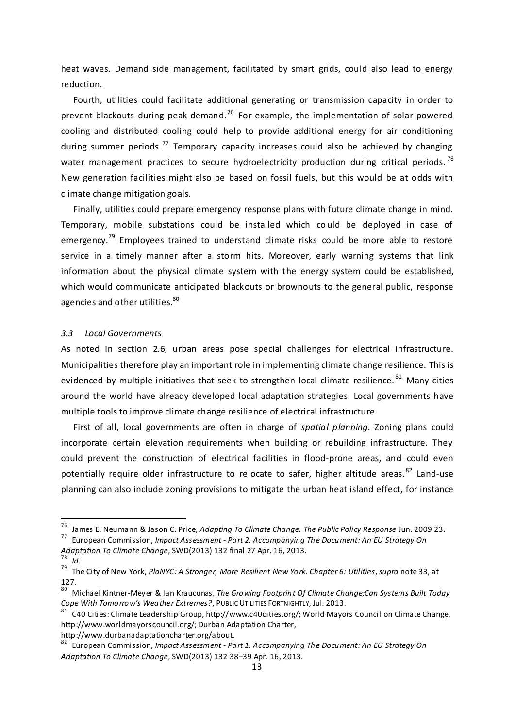heat waves. Demand side management, facilitated by smart grids, could also lead to energy reduction.

Fourth, utilities could facilitate additional generating or transmission capacity in order to prevent blackouts during peak demand.<sup>76</sup> For example, the implementation of solar powered cooling and distributed cooling could help to provide additional energy for air conditioning during summer periods.<sup>77</sup> Temporary capacity increases could also be achieved by changing water management practices to secure hydroelectricity production during critical periods.<sup>78</sup> New generation facilities might also be based on fossil fuels, but this would be at odds with climate change mitigation goals.

Finally, utilities could prepare emergency response plans with future climate change in mind. Temporary, mobile substations could be installed which co uld be deployed in case of emergency.<sup>79</sup> Employees trained to understand climate risks could be more able to restore service in a timely manner after a storm hits. Moreover, early warning systems that link information about the physical climate system with the energy system could be established, which would communicate anticipated blackouts or brownouts to the general public, response agencies and other utilities.<sup>80</sup>

#### <span id="page-13-0"></span>*3.3 Local Governments*

**-**

As noted in section 2.6, urban areas pose special challenges for electrical infrastructure. Municipalities therefore play an important role in implementing climate change resilience. This is evidenced by multiple initiatives that seek to strengthen local climate resilience.<sup>81</sup> Many cities around the world have already developed local adaptation strategies. Local governments have multiple tools to improve climate change resilience of electrical infrastructure.

First of all, local governments are often in charge of *spatial planning.* Zoning plans could incorporate certain elevation requirements when building or rebuilding infrastructure. They could prevent the construction of electrical facilities in flood-prone areas, and could even potentially require older infrastructure to relocate to safer, higher altitude areas.<sup>82</sup> Land-use planning can also include zoning provisions to mitigate the urban heat island effect, for instance

http://www.durbanadaptationcharter.org/about.

<sup>76</sup> James E. Neumann & Jason C. Price, *Adapting To Climate Change. The Public Policy Response* Jun. 2009 23.

<sup>77</sup> European Commission, *Impact Assessment - Part 2. Accompanying The Document: An EU Strategy On* 

*Adaptation To Climate Change*, SWD(2013) 132 final 27 Apr. 16, 2013. <sup>78</sup> *Id.*

<sup>79</sup> The City of New York, *PlaNYC: A Stronger, More Resilient New York. Chapter 6: Utilities*, *supra* note 33, at 127.

<sup>80</sup> Michael Kintner-Meyer & Ian Kraucunas, *The Growing Footprint Of Climate Change;Can Systems Built Today Cope With Tomorrow's Weather Extremes?*, PUBLIC UTILITIES FORTNIGHTLY, Jul. 2013.

<sup>&</sup>lt;sup>81</sup> C40 Cities: Climate Leadership Group, http://www.c40cities.org/; World Mayors Council on Climate Change, http://www.worldmayorscouncil.org/; Durban Adaptation Charter,

<sup>82</sup> European Commission, *Impact Assessment - Part 1. Accompanying The Document: An EU Strategy On Adaptation To Climate Change*, SWD(2013) 132 38–39 Apr. 16, 2013.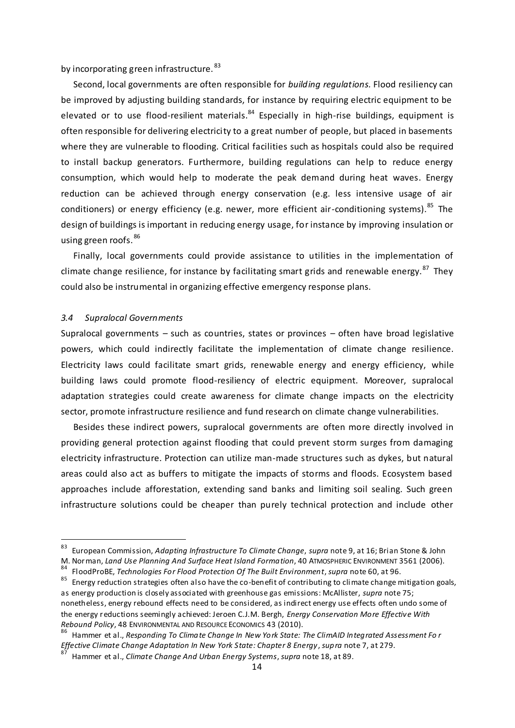by incorporating green infrastructure.<sup>83</sup>

Second, local governments are often responsible for *building regulations.* Flood resiliency can be improved by adjusting building standards, for instance by requiring electric equipment to be elevated or to use flood-resilient materials.<sup>84</sup> Especially in high-rise buildings, equipment is often responsible for delivering electricity to a great number of people, but placed in basements where they are vulnerable to flooding. Critical facilities such as hospitals could also be required to install backup generators. Furthermore, building regulations can help to reduce energy consumption, which would help to moderate the peak demand during heat waves. Energy reduction can be achieved through energy conservation (e.g. less intensive usage of air conditioners) or energy efficiency (e.g. newer, more efficient air-conditioning systems).<sup>85</sup> The design of buildings is important in reducing energy usage, for instance by improving insulation or using green roofs. 86

Finally, local governments could provide assistance to utilities in the implementation of climate change resilience, for instance by facilitating smart grids and renewable energy.<sup>87</sup> They could also be instrumental in organizing effective emergency response plans.

# <span id="page-14-0"></span>*3.4 Supralocal Governments*

 $\overline{a}$ 

Supralocal governments – such as countries, states or provinces – often have broad legislative powers, which could indirectly facilitate the implementation of climate change resilience. Electricity laws could facilitate smart grids, renewable energy and energy efficiency, while building laws could promote flood-resiliency of electric equipment. Moreover, supralocal adaptation strategies could create awareness for climate change impacts on the electricity sector, promote infrastructure resilience and fund research on climate change vulnerabilities.

Besides these indirect powers, supralocal governments are often more directly involved in providing general protection against flooding that could prevent storm surges from damaging electricity infrastructure. Protection can utilize man-made structures such as dykes, but natural areas could also act as buffers to mitigate the impacts of storms and floods. Ecosystem based approaches include afforestation, extending sand banks and limiting soil sealing. Such green infrastructure solutions could be cheaper than purely technical protection and include other

<sup>83</sup> European Commission, *Adapting Infrastructure To Climate Change*, *supra* note 9, at 16; Brian Stone & John M. Norman, *Land Use Planning And Surface Heat Island Formation*, 40 ATMOSPHERIC ENVIRONMENT 3561 (2006).

<sup>84</sup> FloodProBE, *Technologies For Flood Protection Of The Built Environment*, *supra* note 60, at 96.

 $85$  Energy reduction strategies often also have the co-benefit of contributing to climate change mitigation goals, as energy production is closely associated with greenhouse gas emissions: McAllister, *supra* note 75; nonetheless, energy rebound effects need to be considered, as indirect energy use effects often undo some of the energy reductions seemingly achieved: Jeroen C.J.M. Bergh, *Energy Conservation More Effective With Rebound Policy*, 48 ENVIRONMENTAL AND RESOURCE ECONOMICS 43 (2010).

<sup>86</sup> Hammer et al., *Responding To Climate Change In New York State: The ClimAID Integrated Assessment Fo r Effective Climate Change Adaptation In New York State: Chapter 8 Energy*, *supra* note 7, at 279.

<sup>87</sup> Hammer et al., *Climate Change And Urban Energy Systems*, *supra* note 18, at 89.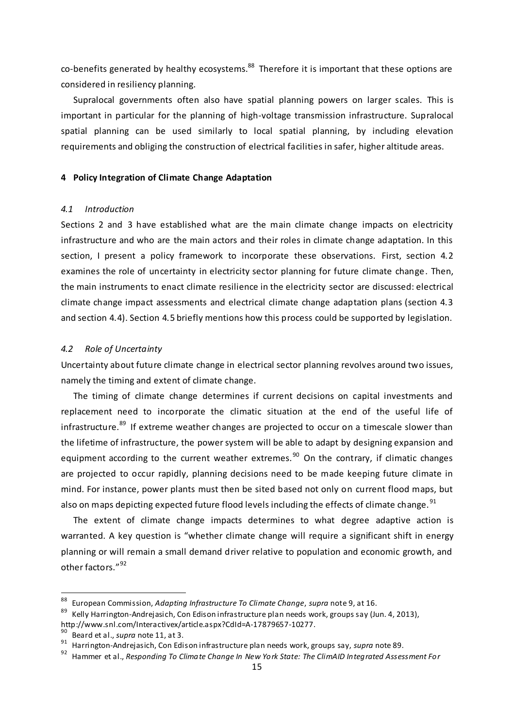co-benefits generated by healthy ecosystems.<sup>88</sup> Therefore it is important that these options are considered in resiliency planning.

Supralocal governments often also have spatial planning powers on larger scales. This is important in particular for the planning of high-voltage transmission infrastructure. Supralocal spatial planning can be used similarly to local spatial planning, by including elevation requirements and obliging the construction of electrical facilities in safer, higher altitude areas.

# <span id="page-15-0"></span>**4 Policy Integration of Climate Change Adaptation**

#### <span id="page-15-1"></span>*4.1 Introduction*

Sections 2 and 3 have established what are the main climate change impacts on electricity infrastructure and who are the main actors and their roles in climate change adaptation. In this section, I present a policy framework to incorporate these observations. First, section 4.2 examines the role of uncertainty in electricity sector planning for future climate change. Then, the main instruments to enact climate resilience in the electricity sector are discussed: electrical climate change impact assessments and electrical climate change adaptation plans (section 4.3 and section 4.4). Section 4.5 briefly mentions how this process could be supported by legislation.

#### <span id="page-15-2"></span>*4.2 Role of Uncertainty*

Uncertainty about future climate change in electrical sector planning revolves around two issues, namely the timing and extent of climate change.

The timing of climate change determines if current decisions on capital investments and replacement need to incorporate the climatic situation at the end of the useful life of infrastructure.<sup>89</sup> If extreme weather changes are projected to occur on a timescale slower than the lifetime of infrastructure, the power system will be able to adapt by designing expansion and equipment according to the current weather extremes.<sup>90</sup> On the contrary, if climatic changes are projected to occur rapidly, planning decisions need to be made keeping future climate in mind. For instance, power plants must then be sited based not only on current flood maps, but also on maps depicting expected future flood levels including the effects of climate change.<sup>91</sup>

The extent of climate change impacts determines to what degree adaptive action is warranted. A key question is "whether climate change will require a significant shift in energy planning or will remain a small demand driver relative to population and economic growth, and other factors." 92

<sup>88</sup> European Commission, *Adapting Infrastructure To Climate Change*, *supra* note 9, at 16.

 $89$  Kelly Harrington-Andrejasich, Con Edison infrastructure plan needs work, groups say (Jun. 4, 2013), http://www.snl.com/Interactivex/article.aspx?CdId=A-17879657-10277.

<sup>90</sup> Beard et al., *supra* note 11, at 3.

<sup>91</sup> Harrington-Andrejasich, Con Edison infrastructure plan needs work, groups say, *supra* note 89.

<sup>92</sup> Hammer et al., *Responding To Climate Change In New York State: The ClimAID Integrated Assessment For*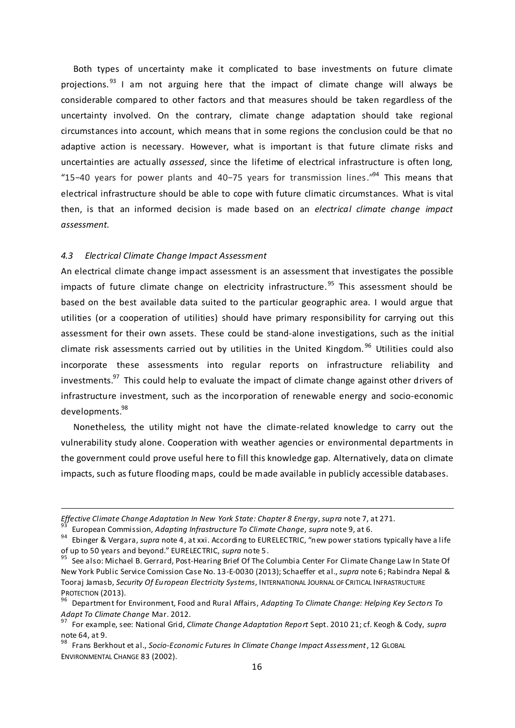Both types of uncertainty make it complicated to base investments on future climate projections.<sup>93</sup> I am not arguing here that the impact of climate change will always be considerable compared to other factors and that measures should be taken regardless of the uncertainty involved. On the contrary, climate change adaptation should take regional circumstances into account, which means that in some regions the conclusion could be that no adaptive action is necessary. However, what is important is that future climate risks and uncertainties are actually *assessed*, since the lifetime of electrical infrastructure is often long, "15−40 years for power plants and 40−75 years for transmission lines."<sup>94</sup> This means that electrical infrastructure should be able to cope with future climatic circumstances. What is vital then, is that an informed decision is made based on an *electrical climate change impact assessment.*

#### <span id="page-16-0"></span>*4.3 Electrical Climate Change Impact Assessment*

I

An electrical climate change impact assessment is an assessment that investigates the possible impacts of future climate change on electricity infrastructure. <sup>95</sup> This assessment should be based on the best available data suited to the particular geographic area. I would argue that utilities (or a cooperation of utilities) should have primary responsibility for carrying out this assessment for their own assets. These could be stand-alone investigations, such as the initial climate risk assessments carried out by utilities in the United Kingdom.  $96$  Utilities could also incorporate these assessments into regular reports on infrastructure reliability and investments.<sup>97</sup> This could help to evaluate the impact of climate change against other drivers of infrastructure investment, such as the incorporation of renewable energy and socio-economic developments. 98

Nonetheless, the utility might not have the climate-related knowledge to carry out the vulnerability study alone. Cooperation with weather agencies or environmental departments in the government could prove useful here to fill this knowledge gap. Alternatively, data on climate impacts, such as future flooding maps, could be made available in publicly accessible databases.

*Effective Climate Change Adaptation In New York State: Chapter 8 Energy*, *supra* note 7, at 271.

<sup>93</sup> European Commission, *Adapting Infrastructure To Climate Change*, *supra* note 9, at 6.

<sup>94</sup> Ebinger & Vergara, *supra* note 4, at xxi. According to EURELECTRIC, "new power stations typically have a life of up to 50 years and beyond." EURELECTRIC, *supra* note 5.

<sup>&</sup>lt;sup>95</sup> See also: Michael B. Gerrard, Post-Hearing Brief Of The Columbia Center For Climate Change Law In State Of New York Public Service Comission Case No. 13-E-0030 (2013); Schaeffer et al., *supra* note 6; Rabindra Nepal & Tooraj Jamasb, *Security Of European Electricity Systems*, INTERNATIONAL JOURNAL OF CRITICAL INFRASTRUCTURE PROTECTION (2013).

<sup>96</sup> Department for Environment, Food and Rural Affairs, *Adapting To Climate Change: Helping Key Sectors To Adapt To Climate Change* Mar. 2012.

<sup>97</sup> For example, see: National Grid, *Climate Change Adaptation Report* Sept. 2010 21; cf. Keogh & Cody, *supra* note 64, at 9.

<sup>98</sup> Frans Berkhout et al., *Socio-Economic Futures In Climate Change Impact Assessment*, 12 GLOBAL ENVIRONMENTAL CHANGE 83 (2002).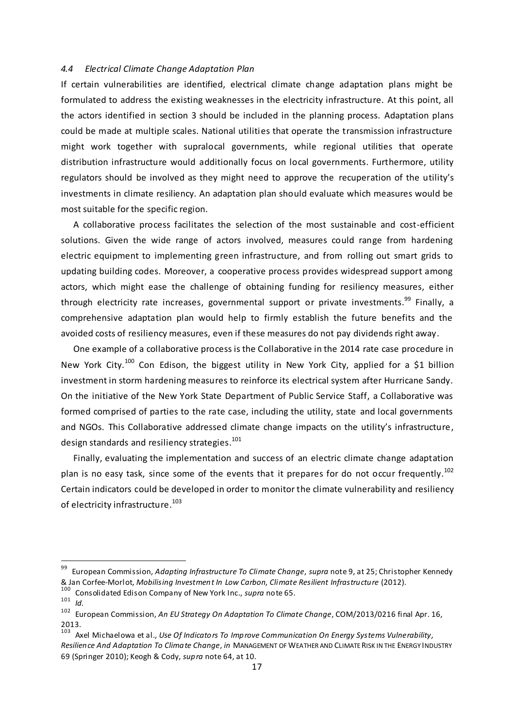## <span id="page-17-0"></span>*4.4 Electrical Climate Change Adaptation Plan*

If certain vulnerabilities are identified, electrical climate change adaptation plans might be formulated to address the existing weaknesses in the electricity infrastructure. At this point, all the actors identified in section 3 should be included in the planning process. Adaptation plans could be made at multiple scales. National utilities that operate the transmission infrastructure might work together with supralocal governments, while regional utilities that operate distribution infrastructure would additionally focus on local governments. Furthermore, utility regulators should be involved as they might need to approve the recuperation of the utility's investments in climate resiliency. An adaptation plan should evaluate which measures would be most suitable for the specific region.

A collaborative process facilitates the selection of the most sustainable and cost-efficient solutions. Given the wide range of actors involved, measures could range from hardening electric equipment to implementing green infrastructure, and from rolling out smart grids to updating building codes. Moreover, a cooperative process provides widespread support among actors, which might ease the challenge of obtaining funding for resiliency measures, either through electricity rate increases, governmental support or private investments.<sup>99</sup> Finally, a comprehensive adaptation plan would help to firmly establish the future benefits and the avoided costs of resiliency measures, even if these measures do not pay dividends right away.

One example of a collaborative process is the Collaborative in the 2014 rate case procedure in New York City.<sup>100</sup> Con Edison, the biggest utility in New York City, applied for a \$1 billion investment in storm hardening measures to reinforce its electrical system after Hurricane Sandy. On the initiative of the New York State Department of Public Service Staff, a Collaborative was formed comprised of parties to the rate case, including the utility, state and local governments and NGOs. This Collaborative addressed climate change impacts on the utility's infrastructure, design standards and resiliency strategies.<sup>101</sup>

Finally, evaluating the implementation and success of an electric climate change adaptation plan is no easy task, since some of the events that it prepares for do not occur frequently. $^{102}$ Certain indicators could be developed in order to monitor the climate vulnerability and resiliency of electricity infrastructure. 103

<sup>99</sup> European Commission, *Adapting Infrastructure To Climate Change*, *supra* note 9, at 25; Christopher Kennedy & Jan Corfee-Morlot, *Mobilising Investment In Low Carbon, Climate Resilient Infrastructure* (2012).

<sup>100</sup> Consolidated Edison Company of New York Inc., *supra* note 65.<br>101 LM

 $\frac{101}{102}$  *Id.* 

<sup>102</sup> European Commission, *An EU Strategy On Adaptation To Climate Change*, COM/2013/0216 final Apr. 16,  $2013.$ <sub>103</sub>

Axel Michaelowa et al., *Use Of Indicators To Improve Communication On Energy Systems Vulnerability*, *Resilience And Adaptation To Climate Change*, *in* MANAGEMENT OF WEATHER AND CLIMATE RISK IN THE ENERGY INDUSTRY 69 (Springer 2010); Keogh & Cody, *supra* note 64, at 10.